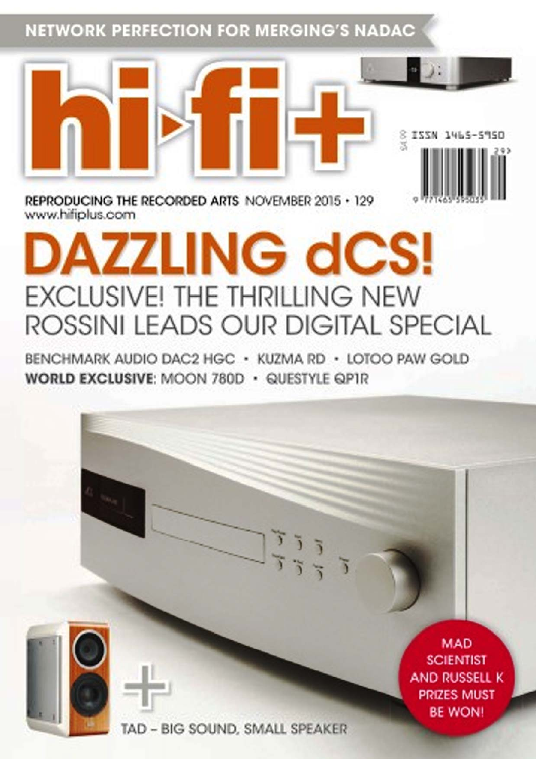**NETWORK PERFECTION FOR MERGING'S NADAC** 

REPRODUCING THE RECORDED ARTS NOVEMBER 2015  $\cdot$  129 www.hifiplus.com

# **AZZLING dCS! EXCLUSIVE! THE THRILLING NEW** ROSSINI LEADS OUR DIGITAL SPECIAL

BENCHMARK AUDIO DAC2 HGC · KUZMA RD · LOTOO PAW GOLD WORLD EXCLUSIVE: MOON 780D · QUESTYLE QP1R

> **MAD SCIENTIST AND RUSSELL K PRIZES MUST BE WON!**

8 ISSN 1465

TAD - BIG SOUND, SMALL SPEAKER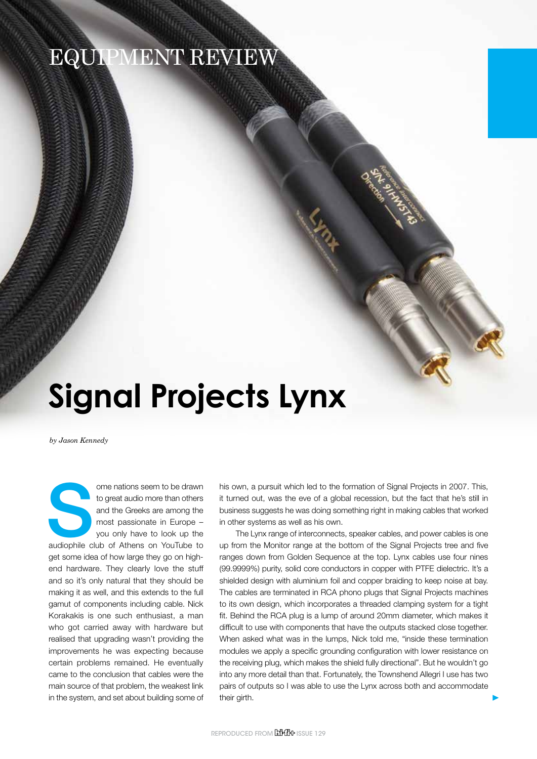### EQUIPMENT REVIEW

## **Signal Projects Lynx**

*by Jason Kennedy*

ome nations seem to be drawn<br>
to great audio more than others<br>
and the Greeks are among the<br>
most passionate in Europe –<br>
you only have to look up the<br>
audiophile club of Athens on YouTube to to great audio more than others and the Greeks are among the most passionate in Europe – you only have to look up the get some idea of how large they go on highend hardware. They clearly love the stuff and so it's only natural that they should be making it as well, and this extends to the full gamut of components including cable. Nick Korakakis is one such enthusiast, a man who got carried away with hardware but realised that upgrading wasn't providing the improvements he was expecting because certain problems remained. He eventually came to the conclusion that cables were the main source of that problem, the weakest link in the system, and set about building some of

his own, a pursuit which led to the formation of Signal Projects in 2007. This, it turned out, was the eve of a global recession, but the fact that he's still in business suggests he was doing something right in making cables that worked in other systems as well as his own.

The Lynx range of interconnects, speaker cables, and power cables is one up from the Monitor range at the bottom of the Signal Projects tree and five ranges down from Golden Sequence at the top. Lynx cables use four nines (99.9999%) purity, solid core conductors in copper with PTFE dielectric. It's a shielded design with aluminium foil and copper braiding to keep noise at bay. The cables are terminated in RCA phono plugs that Signal Projects machines to its own design, which incorporates a threaded clamping system for a tight fit. Behind the RCA plug is a lump of around 20mm diameter, which makes it difficult to use with components that have the outputs stacked close together. When asked what was in the lumps, Nick told me, "inside these termination modules we apply a specific grounding configuration with lower resistance on the receiving plug, which makes the shield fully directional". But he wouldn't go into any more detail than that. Fortunately, the Townshend Allegri I use has two pairs of outputs so I was able to use the Lynx across both and accommodate their girth.